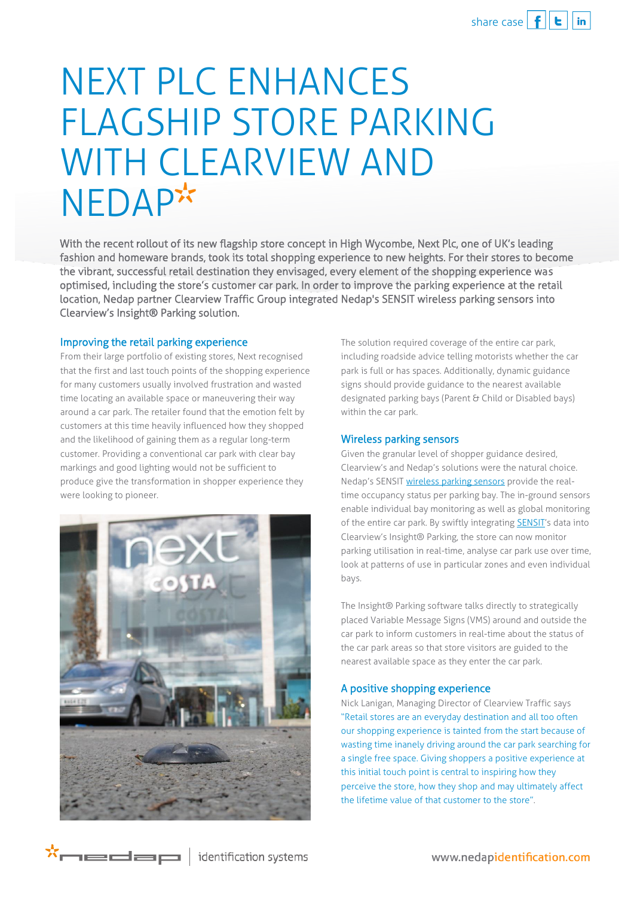## NEXT PLC ENHANCES FLAGSHIP STORE PARKING WITH CLEARVIEW AND **NEDAP\*\***

With the recent rollout of its new flagship store concept in High Wycombe, Next Plc, one of UK's leading fashion and homeware brands, took its total shopping experience to new heights. For their stores to become the vibrant, successful retail destination they envisaged, every element of the shopping experience was optimised, including the store's customer car park. In order to improve the parking experience at the retail location, Nedap partner Clearview Traffic Group integrated Nedap's SENSIT wireless parking sensors into Clearview's Insight® Parking solution.

## Improving the retail parking experience

From their large portfolio of existing stores, Next recognised that the first and last touch points of the shopping experience for many customers usually involved frustration and wasted time locating an available space or maneuvering their way around a car park. The retailer found that the emotion felt by customers at this time heavily influenced how they shopped and the likelihood of gaining them as a regular long-term customer. Providing a conventional car park with clear bay markings and good lighting would not be sufficient to produce give the transformation in shopper experience they were looking to pioneer.



The solution required coverage of the entire car park, including roadside advice telling motorists whether the car park is full or has spaces. Additionally, dynamic guidance signs should provide guidance to the nearest available designated parking bays (Parent & Child or Disabled bays) within the car park.

## Wireless parking sensors

Given the granular level of shopper guidance desired, Clearview's and Nedap's solutions were the natural choice. Nedap's SENSI[T wireless parking sensors](http://www.nedapmobility.com/on-street-parking/products) provide the realtime occupancy status per parking bay. The in-ground sensors enable individual bay monitoring as well as global monitoring of the entire car park. By swiftly integratin[g SENSIT](http://www.nedapmobility.com/on-street-parking/products/sensit-ir)'s data into Clearview's Insight® Parking, the store can now monitor parking utilisation in real-time, analyse car park use over time, look at patterns of use in particular zones and even individual bays.

The Insight® Parking software talks directly to strategically placed Variable Message Signs (VMS) around and outside the car park to inform customers in real-time about the status of the car park areas so that store visitors are guided to the nearest available space as they enter the car park.

## A positive shopping experience

Nick Lanigan, Managing Director of Clearview Traffic says "Retail stores are an everyday destination and all too often our shopping experience is tainted from the start because of wasting time inanely driving around the car park searching for a single free space. Giving shoppers a positive experience at this initial touch point is central to inspiring how they perceive the store, how they shop and may ultimately affect the lifetime value of that customer to the store".

\*medap

identification systems

www.nedapidentification.com